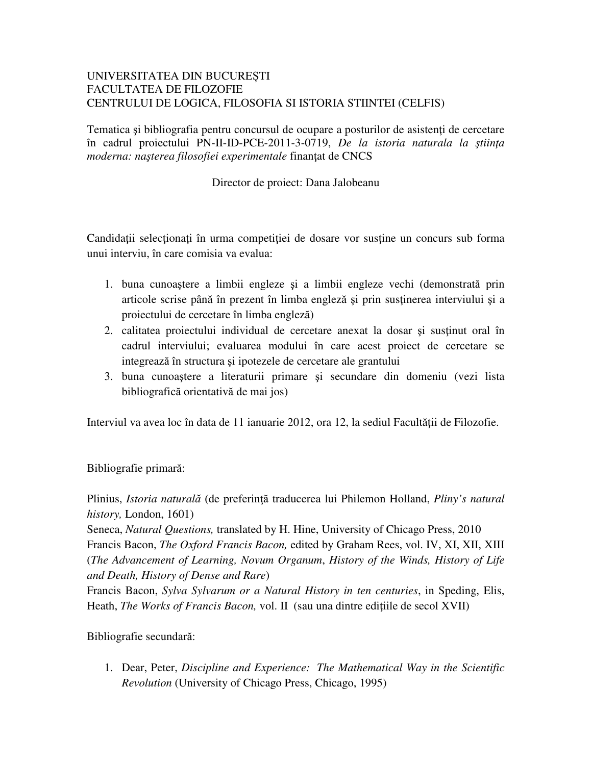## UNIVERSITATEA DIN BUCUREȘTI FACULTATEA DE FILOZOFIE CENTRULUI DE LOGICA, FILOSOFIA SI ISTORIA STIINTEI (CELFIS)

Tematica și bibliografia pentru concursul de ocupare a posturilor de asistenți de cercetare în cadrul proiectului PN-II-ID-PCE-2011-3-0719, *De la istoria naturala la* ş*tiin*ţ*a moderna: na*ş*terea filosofiei experimentale* finanţat de CNCS

Director de proiect: Dana Jalobeanu

Candidaţii selecţionaţi în urma competiţiei de dosare vor susţine un concurs sub forma unui interviu, în care comisia va evalua:

- 1. buna cunoaştere a limbii engleze şi a limbii engleze vechi (demonstrată prin articole scrise până în prezent în limba engleză şi prin susţinerea interviului şi a proiectului de cercetare în limba engleză)
- 2. calitatea proiectului individual de cercetare anexat la dosar si sustinut oral în cadrul interviului; evaluarea modului în care acest proiect de cercetare se integrează în structura şi ipotezele de cercetare ale grantului
- 3. buna cunoaştere a literaturii primare şi secundare din domeniu (vezi lista bibliografică orientativă de mai jos)

Interviul va avea loc în data de 11 ianuarie 2012, ora 12, la sediul Facultății de Filozofie.

## Bibliografie primară:

Plinius, *Istoria natural*ă (de preferinţă traducerea lui Philemon Holland, *Pliny's natural history,* London, 1601)

Seneca, *Natural Questions,* translated by H. Hine, University of Chicago Press, 2010 Francis Bacon, *The Oxford Francis Bacon,* edited by Graham Rees, vol. IV, XI, XII, XIII (*The Advancement of Learning, Novum Organum*, *History of the Winds, History of Life and Death, History of Dense and Rare*)

Francis Bacon, *Sylva Sylvarum or a Natural History in ten centuries*, in Speding, Elis, Heath, *The Works of Francis Bacon*, vol. II (sau una dintre edițiile de secol XVII)

Bibliografie secundară:

1. Dear, Peter, *Discipline and Experience: The Mathematical Way in the Scientific Revolution* (University of Chicago Press, Chicago, 1995)